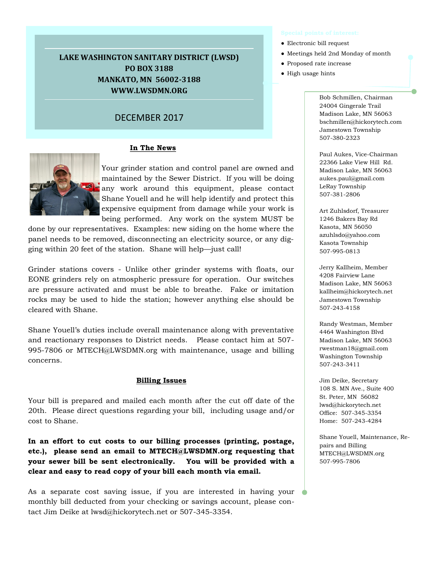# **LAKE WASHINGTON SANITARY DISTRICT (LWSD) PO BOX 3188 MANKATO, MN 56002-3188 WWW.LWSDMN.ORG**

# DECEMBER 2017

## **In The News**



Your grinder station and control panel are owned and maintained by the Sewer District. If you will be doing any work around this equipment, please contact Shane Youell and he will help identify and protect this expensive equipment from damage while your work is being performed. Any work on the system MUST be

done by our representatives. Examples: new siding on the home where the panel needs to be removed, disconnecting an electricity source, or any digging within 20 feet of the station. Shane will help—just call!

Grinder stations covers - Unlike other grinder systems with floats, our EONE grinders rely on atmospheric pressure for operation. Our switches are pressure activated and must be able to breathe. Fake or imitation rocks may be used to hide the station; however anything else should be cleared with Shane.

Shane Youell's duties include overall maintenance along with preventative and reactionary responses to District needs. Please contact him at 507- 995-7806 or MTECH@LWSDMN.org with maintenance, usage and billing concerns.

### **Billing Issues**

Your bill is prepared and mailed each month after the cut off date of the 20th. Please direct questions regarding your bill, including usage and/or cost to Shane.

**In an effort to cut costs to our billing processes (printing, postage, etc.), please send an email to MTECH@LWSDMN.org requesting that your sewer bill be sent electronically. You will be provided with a clear and easy to read copy of your bill each month via email.**

As a separate cost saving issue, if you are interested in having your monthly bill deducted from your checking or savings account, please contact Jim Deike at lwsd@hickorytech.net or 507-345-3354.

- Electronic bill request
- Meetings held 2nd Monday of month
- Proposed rate increase
- High usage hints

Bob Schmillen, Chairman 24004 Gingerale Trail Madison Lake, MN 56063 bschmillen@hickorytech.com Jamestown Township 507-380-2323

Paul Aukes, Vice-Chairman 22366 Lake View Hill Rd. Madison Lake, MN 56063 aukes.paul@gmail.com LeRay Township 507-381-2806

Art Zuhlsdorf, Treasurer 1246 Bakers Bay Rd Kasota, MN 56050 azuhlsdo@yahoo.com Kasota Township 507-995-0813

Jerry Kallheim, Member 4208 Fairview Lane Madison Lake, MN 56063 kallheim@hickorytech.net Jamestown Township 507-243-4158

Randy Westman, Member 4464 Washington Blvd Madison Lake, MN 56063 rwestman18@gmail.com Washington Township 507-243-3411

Jim Deike, Secretary 108 S. MN Ave., Suite 400 St. Peter, MN 56082 lwsd@hickorytech.net Office: 507-345-3354 Home: 507-243-4284

Shane Youell, Maintenance, Repairs and Billing MTECH@LWSDMN.org 507-995-7806